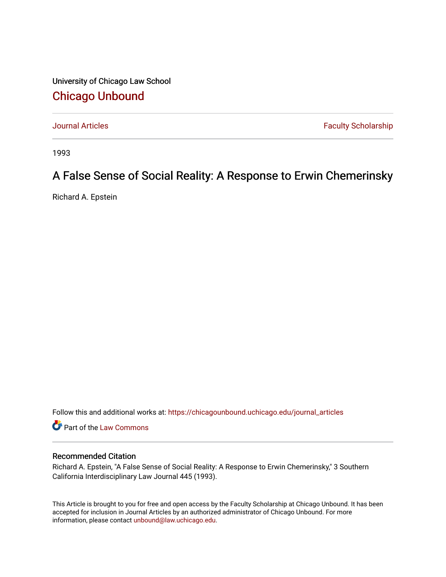University of Chicago Law School [Chicago Unbound](https://chicagounbound.uchicago.edu/)

[Journal Articles](https://chicagounbound.uchicago.edu/journal_articles) **Faculty Scholarship Journal Articles** 

1993

## A False Sense of Social Reality: A Response to Erwin Chemerinsky

Richard A. Epstein

Follow this and additional works at: [https://chicagounbound.uchicago.edu/journal\\_articles](https://chicagounbound.uchicago.edu/journal_articles?utm_source=chicagounbound.uchicago.edu%2Fjournal_articles%2F1195&utm_medium=PDF&utm_campaign=PDFCoverPages) 

Part of the [Law Commons](http://network.bepress.com/hgg/discipline/578?utm_source=chicagounbound.uchicago.edu%2Fjournal_articles%2F1195&utm_medium=PDF&utm_campaign=PDFCoverPages)

#### Recommended Citation

Richard A. Epstein, "A False Sense of Social Reality: A Response to Erwin Chemerinsky," 3 Southern California Interdisciplinary Law Journal 445 (1993).

This Article is brought to you for free and open access by the Faculty Scholarship at Chicago Unbound. It has been accepted for inclusion in Journal Articles by an authorized administrator of Chicago Unbound. For more information, please contact [unbound@law.uchicago.edu](mailto:unbound@law.uchicago.edu).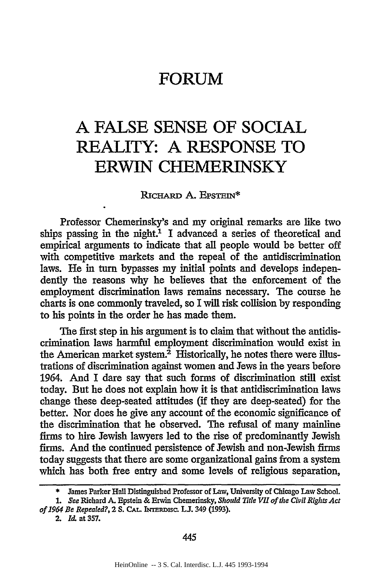### **FORUM**

# **A FALSE SENSE OF SOCIAL REALITY: A RESPONSE TO ERWIN CHEMERINSKY**

RICHARD A. EPSTEIN\*

Professor Chemerinsky's and my original remarks are like two ships passing in the night.<sup>1</sup> I advanced a series of theoretical and empirical arguments to indicate that all people would be better off with competitive markets and the repeal of the antidiscrimination laws. He in turn bypasses my initial points and develops independently the reasons why he believes that the enforcement of the employment discrimination laws remains necessary. The course he charts is one commonly traveled, so I will risk collision by responding to his points in the order he has made them.

The first step in his argument is to claim that without the antidiscrimination laws harmful employment discrimination would exist in the American market system.<sup>2</sup> Historically, he notes there were illustrations of discrimination against women and Jews in the years before 1964. And I dare say that such forms of discrimination still exist today. But he does not explain how it is that antidiscrimination laws change these deep-seated attitudes (if they are deep-seated) for the better. Nor does he give any account of the economic significance of the discrimination that he observed. The refusal of many mainline firms to hire Jewish lawyers led to the rise of predominantly Jewish firms. And the continued persistence of Jewish and non-Jewish firms today suggests that there are some organizational gains from a system which has both free entry and some levels of religious separation,

<sup>\*</sup> James Parker Hall Distinguished Professor of Law, University of Chicago Law School.

*<sup>1.</sup>* See Richard A. Epstein & Erwin Chemerinsky, *Should Title VII of the Civil Rights Act*  $of 1964$  *Be Repealed?, 2 S. CAL. INTERDISC. L.J.* 349 (1993).

<sup>2.</sup> *Id.* at **357.**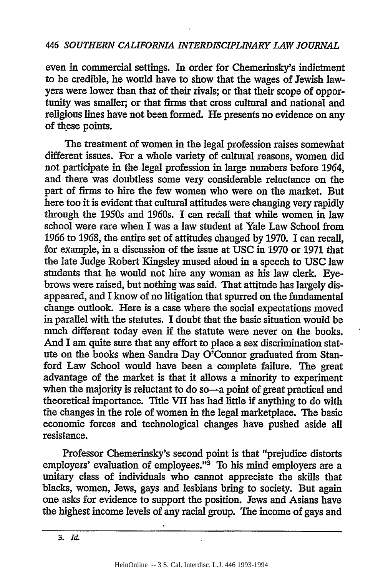even in commercial settings. In order for Chemerinsky's indictment to be credible, he would have to show that the wages of Jewish lawyers were lower than that of their rivals; or that their scope of opportunity was smaller; or that firms that cross cultural and national and religious lines have not been formed. He presents no evidence on any of these points.

The treatment of women in the legal profession raises somewhat different issues. For a whole variety of cultural reasons, women did not participate in the legal profession in large numbers before 1964, and there was doubtless some very considerable reluctance on the part of firms to hire the few women who were on the market. But here too it is evident that cultural attitudes were changing very rapidly through the 1950s and 1960s. I can recall that while women in law school were rare when I was a law student at Yale Law School from 1966 to 1968, the entire set of attitudes changed by 1970. I can recall, for example, in a discussion of the issue at USC in 1970 or 1971 that the late Judge Robert Kingsley mused aloud in a speech to USC law students that he would not hire any woman as his law clerk. Eyebrows were raised, but nothing was said. That attitude has largely disappeared, and I know of no litigation that spurred on the fundamental change outlook. Here is a case where the social expectations moved in parallel with the statutes. I doubt that the basic situation would be much different today even **if** the statute were never on the books. And I am quite sure that any effort to place a sex discrimination statute on the books when Sandra Day O'Connor graduated from Stanford Law School would have been a complete failure. The great advantage of the market is that it allows a minority to experiment when the majority is reluctant to do so—a point of great practical and theoretical importance. Title VII has had little if anything to do with the changes in the role of women in the legal marketplace. The basic economic forces and technological changes have pushed aside all resistance.

Professor Chemerinsky's second point is that "prejudice distorts employers' evaluation of employees."3 To his mind employers are a unitary class of individuals who cannot appreciate the skills that blacks, women, Jews, gays and lesbians bring to society. But again one asks for evidence to support the position. Jews and Asians have the highest income levels of any racial group. The income of gays and

3. *Id.*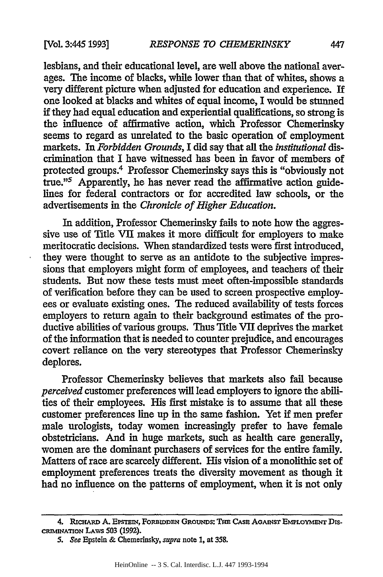lesbians, and their educational level, are well above the national averages. The income of blacks, while lower than that of whites, shows a very different picture when adjusted for education and experience. **If** one looked at blacks and whites of equal income, I would be stunned if they had equal education and experiential qualifications, so strong is the influence of affirmative action, which Professor Chemerinsky seems to regard as unrelated to the basic operation of employment markets. In *Forbidden Grounds,* I did say that all the *institutional dis*crimination that I have witnessed has been in favor of members of protected groups.<sup>4</sup> Professor Chemerinsky says this is "obviously not true."5 Apparently, he has never read the affirmative action guidelines for federal contractors or for accredited law schools, or the advertisements in the *Chronicle of Higher Education.*

In addition, Professor Chemerinsky fails to note how the aggressive use of Title VII makes it more difficult for employers to make meritocratic decisions. When standardized tests were first introduced, they were thought to serve as an antidote to the subjective impressions that employers might form of employees, and teachers of their students. But now these tests must meet often-impossible standards of verification before they can be used to screen prospective employees or evaluate existing ones. The reduced availability of tests forces employers to return again to their background estimates of the productive abilities of various groups. Thus Title VII deprives the market of the information that is needed to counter prejudice, and encourages covert reliance on the very stereotypes that Professor Chemerinsky deplores.

Professor Chemerinsky believes that markets also fail because *perceived* customer preferences will lead employers to ignore the abilities of their employees. His first mistake is to assume that all these customer preferences line up in the same fashion. Yet if men prefer male urologists, today women increasingly prefer to have female obstetricians. And in huge markets, such as health care generally, women are the dominant purchasers of services for the entire family. Matters of race are scarcely different. His vision of a monolithic set of employment preferences treats the diversity movement as though it had no influence on the patterns of employment, when it is not only

**<sup>4.</sup> RICHARD A. EPSTEIN, FORBIDDEN GROUNDS: THE CASE AGAINST EMPLOYMENT DIScmImWATON** LAws **503 (1992).**

**<sup>5.</sup>** See Epstein & Chemerinsky, supra note **1,** at **358.**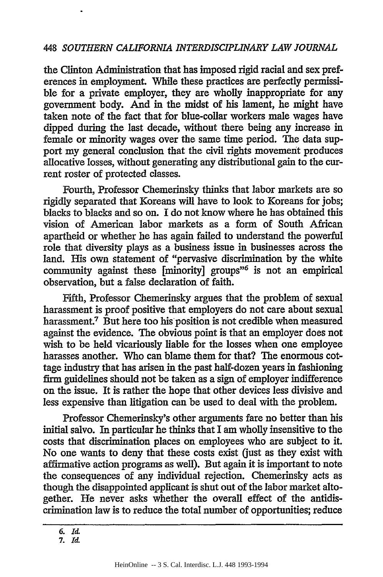the Clinton Administration that has imposed rigid racial and sex preferences in employment. While these practices are perfectly permissible for a private employer, they are wholly inappropriate for any government body. And in the midst of his lament, he might have taken note of the fact that for blue-collar workers male wages have dipped during the last decade, without there being any increase in female or minority wages over the same time period. The data support my general conclusion that the civil rights movement produces allocative losses, without generating any distributional gain to the current roster of protected classes.

Fourth, Professor Chemerinsky thinks that labor markets are so rigidly separated that Koreans will have to look to Koreans for jobs; blacks to blacks and so on. I do not know where he has obtained this vision of American labor markets as a form of South African apartheid or whether he has again failed to understand the powerful role that diversity plays as a business issue in businesses across the land. His own statement of "pervasive discrimination by the white community against these [minority] groups<sup>36</sup> is not an empirical observation, but a false declaration of faith.

Fifth, Professor Chemerinsky argues that the problem of sexual harassment is proof positive that employers do not care about sexual harassment.<sup>7</sup> But here too his position is not credible when measured against the evidence. The obvious point is that an employer does not wish to be held vicariously liable for the losses when one employee harasses another. Who can blame them for that? The enormous cottage industry that has arisen in the past half-dozen years in fashioning firm guidelines should not be taken as a sign of employer indifference on the issue. It is rather the hope that other devices less divisive and less expensive than litigation can be used to deal with the problem.

Professor Chemerinsky's other arguments fare no better than his initial salvo. In particular he thinks that I am wholly insensitive to the costs that discrimination places on employees who are subject to it. No one wants to deny that these costs exist (just as they exist with affirmative action programs as well). But again it is important to note the consequences of any individual rejection. Chemerinsky acts as though the disappointed applicant is shut out of the labor market altogether. He never asks whether the overall effect of the antidiscrimination law is to reduce the total number of opportunities; reduce

**<sup>6.</sup> Ia**

**<sup>7.</sup>** *Id-*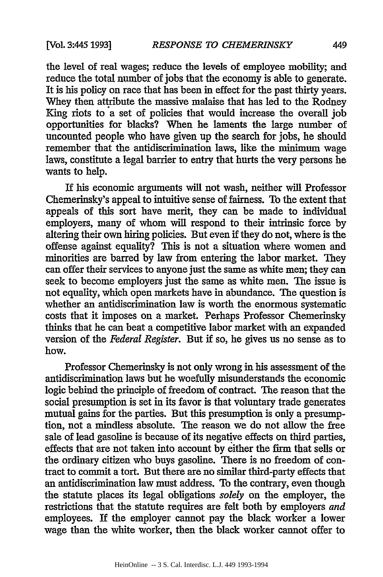the level of real wages; reduce the levels of employee mobility; and reduce the total number of jobs that the economy is able to generate. It is his policy on race that has been in effect for the past thirty years. Whey then attribute the massive malaise that has led to the Rodney King riots to a set of policies that would increase the overall job opportunities for blacks? When he laments the large number of uncounted people who have given up the search for jobs, he should remember that the antidiscrimination laws, like the minimum wage laws, constitute a legal barrier to entry that hurts the very persons he wants to help.

If his economic arguments will not wash, neither will Professor Chemerinsky's appeal to intuitive sense of fairness. To the extent that appeals of this sort have merit, they can be made to individual employers, many of whom will respond to their intrinsic force by altering their own hiring policies. But even if they do not, where is the offense against equality? This is not a situation where women and minorities are barred by law from entering the labor market. They can offer their services to anyone just the same as white men; they can seek to become employers just the same as white men. The issue is not equality, which open markets have in abundance. The question is whether an antidiscrimination law is worth the enormous systematic costs that it imposes on a market. Perhaps Professor Chemerinsky thinks that he can beat a competitive labor market with an expanded version of the *Federal Register.* But if so, he gives us no sense as to how.

Professor Chemerinsky is not only wrong in his assessment of the antidiscrimination laws but he woefully misunderstands the economic logic behind the principle of freedom of contract. The reason that the social presumption is set in its favor is that voluntary trade generates mutual gains for the parties. But this presumption is only a presumption, not a mindless absolute. The reason we do not allow the free sale of lead gasoline is because of its negative effects on third parties, effects that are not taken into account by either the firm that sells or the ordinary citizen who buys gasoline. There is no freedom of contract to commit a tort. But there are no similar third-party effects that an antidiscrimination law must address. To the contrary, even though the statute places its legal obligations *solely* on the employer, the restrictions that the statute requires are felt both by employers *and* employees. If the employer cannot pay the black worker a lower wage than the white worker, then the black worker cannot offer to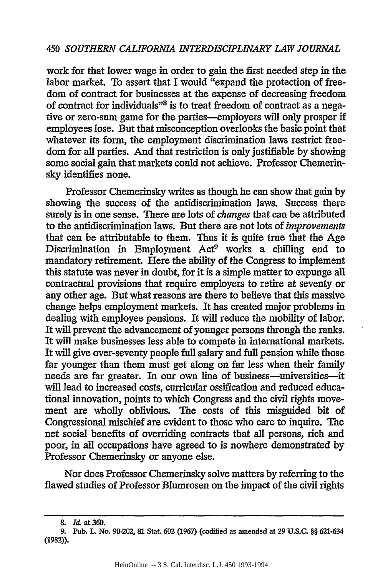work for that lower wage in order to gain the first needed step in the labor market. To assert that I would "expand the protection of freedom of contract for businesses at the expense of decreasing freedom of contract for individuals"8 is to treat freedom of contract as a negative or zero-sum game for the parties-employers will only prosper if employees lose. But that misconception overlooks the basic point that whatever its form, the employment discrimination laws restrict freedom for all parties. And that restriction is only justifiable by showing some social gain that markets could not achieve. Professor Chemerinsky identifies none.

Professor Chemerinsky writes as though he can show that gain by showing the success of the antidiscrimination laws. Success there surely is in one sense. There are lots of *changes* that can be attributed to the antidiscrimination laws. But there are not lots of *improvements* that can be attributable to them. Thus it is quite true that the Age Discrimination in Employment Act<sup>9</sup> works a chilling end to mandatory retirement. Here the ability of the Congress to implement this statute was never in doubt, for it is a simple matter to expunge all contractual provisions that require employers to retire at seventy or any other age. But what reasons are there to believe that this massive change helps employment markets. It has created major problems in dealing with employee pensions. It will reduce the mobility of labor. It will prevent the advancement of younger persons through the ranks. It will make businesses less able to compete in international markets. It will give over-seventy people full salary and full pension while those far younger than them must get along on far less when their family needs are far greater. In our own line of business—universities—it will lead to increased costs, curricular ossification and reduced educational innovation, points to which Congress and the civil rights movement are wholly oblivious. The costs of this misguided bit of Congressional mischief are evident to those who care to inquire. The net social benefits of overriding contracts that all persons, rich and poor, in all occupations have agreed to is nowhere demonstrated by Professor Chemerinsky or anyone else.

Nor does Professor Chemerinsky solve matters by referring to the flawed studies of Professor Blumrosen on the impact of the civil rights

*<sup>8.</sup> Id.* at 360.

**<sup>9.</sup>** Pub. L. No. 90-202, **81** Stat. **602 (1967)** (codified as amended at **29 U.S.C.** *§§* **621-634 (1982)).**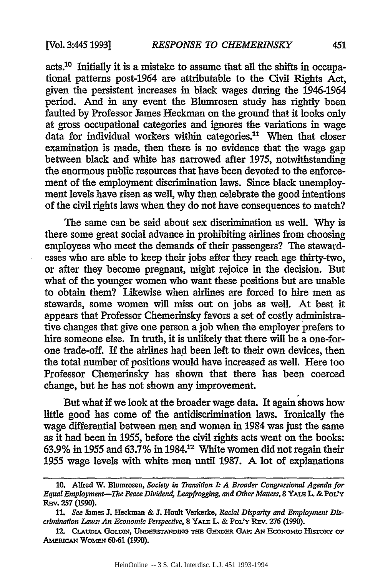acts.10 Initially it is a mistake to assume that all the shifts in occupational patterns post-1964 are attributable to the Civil Rights Act, given the persistent increases in black wages during the 1946-1964 period. And in any event the Blumrosen study has rightly been faulted by Professor James Heckman on the ground that it looks only at gross occupational categories and ignores the variations in wage data for individual workers within categories.11 When that closer examination is made, then there is no evidence that the wage gap between black and white has narrowed after 1975, notwithstanding the enormous public resources that have been devoted to the enforcement of the employment discrimination laws. Since black unemployment levels have risen as well, why then celebrate the good intentions of the civil rights laws when they do not have consequences to match?

The same can be said about sex discrimination as well. Why is there some great social advance in prohibiting airlines from choosing employees who meet the demands of their passengers? The stewardesses who are able to keep their jobs after they reach age thirty-two, or after they become pregnant, might rejoice in the decision. But what of the younger women who want these positions but are unable to obtain them? Likewise when airlines are forced to hire men as stewards, some women will miss out on jobs as well. At best it appears that Professor Chemerinsky favors a set of costly administrative changes that give one person a job when the employer prefers to hire someone else. In truth, it is unlikely that there will be a one-forone trade-off. If the airlines had been left to their own devices, then the total number of positions would have increased as well. Here too Professor Chemerinsky has shown that there has been coerced change, but he has not shown any improvement.

But what if we look at the broader wage data. It again shows how little good has come of the antidiscrimination laws. Ironically the wage differential between men and women in 1984 was just the same as it had been in 1955, before the civil rights acts went on the books: **63.9%** in 1955 and 63.7% in **1984.12** White women did not regain their 1955 wage levels with white men until 1987. A lot of explanations

**<sup>10.</sup>** Alfred W. Blumrosen, *Society in Transition I A Broader Congressional Agenda for Equal Employment-The Peace Dividend, Leapfrogging, and Other Matters,* **8 YAI.E L. & PoL'y REv. 257 (1990).**

*<sup>11.</sup> See* lames **J.** Heckman **&** *.* Hoult Verkerke, *Racial Disparity and Employment Discrimination Laws: An Economic Perspective,* **8 YALE** L. **& PoL'y RE v. 276 (1990).**

<sup>12.</sup> CLAUDIA GOLDIN, UNDERSTANDING THE GENDER GAP: AN ECONOMIC HISTORY OF **AMERICAN WOMEN 60-61 (1990).**